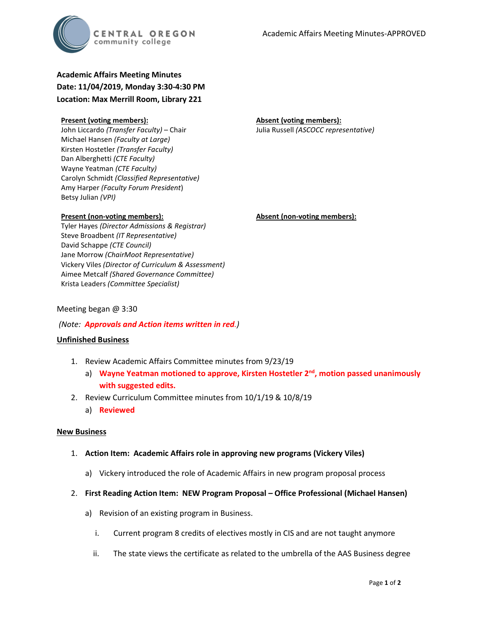

## **Academic Affairs Meeting Minutes Date: 11/04/2019, Monday 3:30-4:30 PM Location: Max Merrill Room, Library 221**

#### **Present (voting members):**

John Liccardo *(Transfer Faculty)* – Chair Michael Hansen *(Faculty at Large)* Kirsten Hostetler *(Transfer Faculty)* Dan Alberghetti *(CTE Faculty)* Wayne Yeatman *(CTE Faculty)* Carolyn Schmidt *(Classified Representative)* Amy Harper *(Faculty Forum President*) Betsy Julian *(VPI)*

#### **Present (non-voting members):**

Tyler Hayes *(Director Admissions & Registrar)* Steve Broadbent *(IT Representative)* David Schappe *(CTE Council)* Jane Morrow *(ChairMoot Representative)* Vickery Viles *(Director of Curriculum & Assessment)* Aimee Metcalf *(Shared Governance Committee)* Krista Leaders *(Committee Specialist)*

# **Absent (non-voting members):**

## Meeting began @ 3:30

### *(Note: Approvals and Action items written in red.)*

### **Unfinished Business**

- 1. Review Academic Affairs Committee minutes from 9/23/19
	- a) **Wayne Yeatman motioned to approve, Kirsten Hostetler 2nd, motion passed unanimously with suggested edits.**
- 2. Review Curriculum Committee minutes from 10/1/19 & 10/8/19
	- a) **Reviewed**

### **New Business**

- 1. **Action Item: Academic Affairs role in approving new programs (Vickery Viles)**
	- a) Vickery introduced the role of Academic Affairs in new program proposal process
- 2. **First Reading Action Item: NEW Program Proposal – Office Professional (Michael Hansen)**
	- a) Revision of an existing program in Business.
		- i. Current program 8 credits of electives mostly in CIS and are not taught anymore
		- ii. The state views the certificate as related to the umbrella of the AAS Business degree

#### **Absent (voting members):** Julia Russell *(ASCOCC representative)*